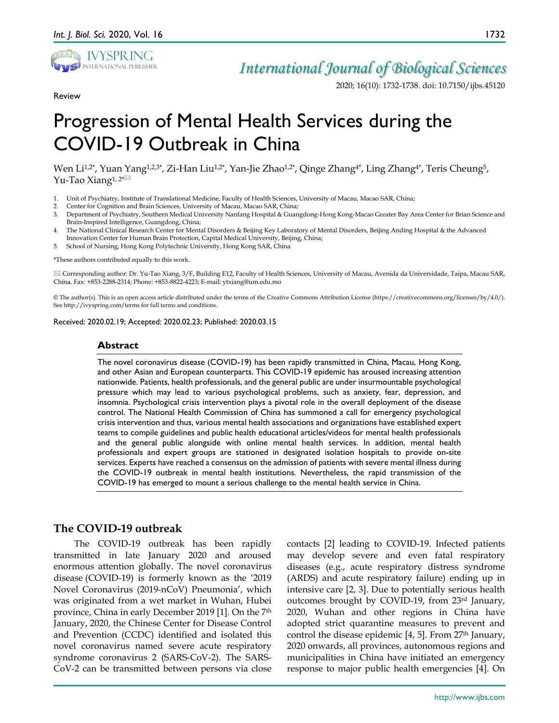

Review

# *International Journal of Biological Sciences*

2020; 16(10): 1732-1738. doi: 10.7150/ijbs.45120

# Progression of Mental Health Services during the COVID-19 Outbreak in China

Wen Li<sup>1,2\*</sup>, Yuan Yang<sup>1,2,3\*</sup>, Zi-Han Liu<sup>1,2\*</sup>, Yan-Jie Zhao<sup>1,2\*</sup>, Qinge Zhang<sup>4\*</sup>, Ling Zhang<sup>4\*</sup>, Teris Cheung<sup>5</sup>, Yu-Tao Xiang<sup>1,2\*⊠</sup>

- 1. Unit of Psychiatry, Institute of Translational Medicine, Faculty of Health Sciences, University of Macau, Macao SAR, China;
- 2. Center for Cognition and Brain Sciences, University of Macau, Macao SAR, China;
- 3. Department of Psychiatry, Southern Medical University Nanfang Hospital & Guangdong-Hong Kong-Macao Greater Bay Area Center for Brian Science and Brain-Inspired Intelligence, Guangdong, China;
- 4. The National Clinical Research Center for Mental Disorders & Beijing Key Laboratory of Mental Disorders, Beijing Anding Hospital & the Advanced Innovation Center for Human Brain Protection, Capital Medical University, Beijing, China;
- 5. School of Nursing, Hong Kong Polytechnic University, Hong Kong SAR, China

\*These authors contributed equally to this work.

 Corresponding author: Dr. Yu-Tao Xiang, 3/F, Building E12, Faculty of Health Sciences, University of Macau, Avenida da Universidade, Taipa, Macau SAR, China. Fax: +853-2288-2314; Phone: +853-8822-4223; E-mail: ytxiang@um.edu.mo

© The author(s). This is an open access article distributed under the terms of the Creative Commons Attribution License (https://creativecommons.org/licenses/by/4.0/). See http://ivyspring.com/terms for full terms and conditions.

Received: 2020.02.19; Accepted: 2020.02.23; Published: 2020.03.15

#### **Abstract**

The novel coronavirus disease (COVID-19) has been rapidly transmitted in China, Macau, Hong Kong, and other Asian and European counterparts. This COVID-19 epidemic has aroused increasing attention nationwide. Patients, health professionals, and the general public are under insurmountable psychological pressure which may lead to various psychological problems, such as anxiety, fear, depression, and insomnia. Psychological crisis intervention plays a pivotal role in the overall deployment of the disease control. The National Health Commission of China has summoned a call for emergency psychological crisis intervention and thus, various mental health associations and organizations have established expert teams to compile guidelines and public health educational articles/videos for mental health professionals and the general public alongside with online mental health services. In addition, mental health professionals and expert groups are stationed in designated isolation hospitals to provide on-site services. Experts have reached a consensus on the admission of patients with severe mental illness during the COVID-19 outbreak in mental health institutions. Nevertheless, the rapid transmission of the COVID-19 has emerged to mount a serious challenge to the mental health service in China.

# **The COVID-19 outbreak**

The COVID-19 outbreak has been rapidly transmitted in late January 2020 and aroused enormous attention globally. The novel coronavirus disease (COVID-19) is formerly known as the '2019 Novel Coronavirus (2019-nCoV) Pneumonia', which was originated from a wet market in Wuhan, Hubei province, China in early December 2019 [1]. On the 7th January, 2020, the Chinese Center for Disease Control and Prevention (CCDC) identified and isolated this novel coronavirus named severe acute respiratory syndrome coronavirus 2 (SARS-CoV-2). The SARS-CoV-2 can be transmitted between persons via close

contacts [2] leading to COVID-19. Infected patients may develop severe and even fatal respiratory diseases (e.g., acute respiratory distress syndrome (ARDS) and acute respiratory failure) ending up in intensive care [2, 3]. Due to potentially serious health outcomes brought by COVID-19, from 23rd January, 2020, Wuhan and other regions in China have adopted strict quarantine measures to prevent and control the disease epidemic  $[4, 5]$ . From 27<sup>th</sup> January, 2020 onwards, all provinces, autonomous regions and municipalities in China have initiated an emergency response to major public health emergencies [4]. On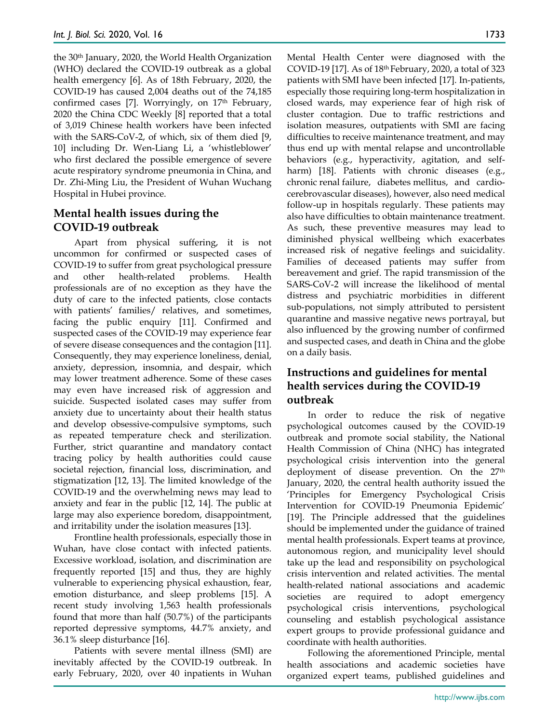the 30th January, 2020, the World Health Organization (WHO) declared the COVID-19 outbreak as a global health emergency [6]. As of 18th February, 2020, the COVID-19 has caused 2,004 deaths out of the 74,185 confirmed cases [7]. Worryingly, on 17<sup>th</sup> February, 2020 the China CDC Weekly [8] reported that a total of 3,019 Chinese health workers have been infected with the SARS-CoV-2, of which, six of them died [9, 10] including Dr. Wen-Liang Li, a 'whistleblower' who first declared the possible emergence of severe acute respiratory syndrome pneumonia in China, and Dr. Zhi-Ming Liu, the President of Wuhan Wuchang Hospital in Hubei province.

# **Mental health issues during the COVID-19 outbreak**

Apart from physical suffering, it is not uncommon for confirmed or suspected cases of COVID-19 to suffer from great psychological pressure and other health-related problems. Health professionals are of no exception as they have the duty of care to the infected patients, close contacts with patients' families/ relatives, and sometimes, facing the public enquiry [11]. Confirmed and suspected cases of the COVID-19 may experience fear of severe disease consequences and the contagion [11]. Consequently, they may experience loneliness, denial, anxiety, depression, insomnia, and despair, which may lower treatment adherence. Some of these cases may even have increased risk of aggression and suicide. Suspected isolated cases may suffer from anxiety due to uncertainty about their health status and develop obsessive-compulsive symptoms, such as repeated temperature check and sterilization. Further, strict quarantine and mandatory contact tracing policy by health authorities could cause societal rejection, financial loss, discrimination, and stigmatization [12, 13]. The limited knowledge of the COVID-19 and the overwhelming news may lead to anxiety and fear in the public [12, 14]. The public at large may also experience boredom, disappointment, and irritability under the isolation measures [13].

Frontline health professionals, especially those in Wuhan, have close contact with infected patients. Excessive workload, isolation, and discrimination are frequently reported [15] and thus, they are highly vulnerable to experiencing physical exhaustion, fear, emotion disturbance, and sleep problems [15]. A recent study involving 1,563 health professionals found that more than half (50.7%) of the participants reported depressive symptoms, 44.7% anxiety, and 36.1% sleep disturbance [16].

Patients with severe mental illness (SMI) are inevitably affected by the COVID-19 outbreak. In early February, 2020, over 40 inpatients in Wuhan Mental Health Center were diagnosed with the COVID-19 [17]. As of 18th February, 2020, a total of 323 patients with SMI have been infected [17]. In-patients, especially those requiring long-term hospitalization in closed wards, may experience fear of high risk of cluster contagion. Due to traffic restrictions and isolation measures, outpatients with SMI are facing difficulties to receive maintenance treatment, and may thus end up with mental relapse and uncontrollable behaviors (e.g., hyperactivity, agitation, and selfharm) [18]. Patients with chronic diseases (e.g., chronic renal failure, diabetes mellitus, and cardiocerebrovascular diseases), however, also need medical follow-up in hospitals regularly. These patients may also have difficulties to obtain maintenance treatment. As such, these preventive measures may lead to diminished physical wellbeing which exacerbates increased risk of negative feelings and suicidality. Families of deceased patients may suffer from bereavement and grief. The rapid transmission of the SARS-CoV-2 will increase the likelihood of mental distress and psychiatric morbidities in different sub-populations, not simply attributed to persistent quarantine and massive negative news portrayal, but also influenced by the growing number of confirmed and suspected cases, and death in China and the globe on a daily basis.

# **Instructions and guidelines for mental health services during the COVID-19 outbreak**

In order to reduce the risk of negative psychological outcomes caused by the COVID-19 outbreak and promote social stability, the National Health Commission of China (NHC) has integrated psychological crisis intervention into the general deployment of disease prevention. On the 27<sup>th</sup> January, 2020, the central health authority issued the 'Principles for Emergency Psychological Crisis Intervention for COVID-19 Pneumonia Epidemic' [19]. The Principle addressed that the guidelines should be implemented under the guidance of trained mental health professionals. Expert teams at province, autonomous region, and municipality level should take up the lead and responsibility on psychological crisis intervention and related activities. The mental health-related national associations and academic societies are required to adopt emergency psychological crisis interventions, psychological counseling and establish psychological assistance expert groups to provide professional guidance and coordinate with health authorities.

Following the aforementioned Principle, mental health associations and academic societies have organized expert teams, published guidelines and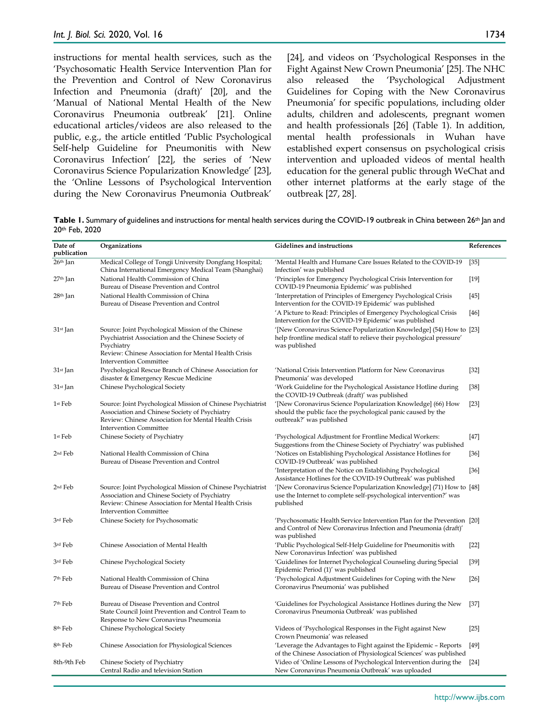instructions for mental health services, such as the 'Psychosomatic Health Service Intervention Plan for the Prevention and Control of New Coronavirus Infection and Pneumonia (draft)' [20], and the 'Manual of National Mental Health of the New Coronavirus Pneumonia outbreak' [21]. Online educational articles/videos are also released to the public, e.g., the article entitled 'Public Psychological Self-help Guideline for Pneumonitis with New Coronavirus Infection' [22], the series of 'New Coronavirus Science Popularization Knowledge' [23], the 'Online Lessons of Psychological Intervention

during the New Coronavirus Pneumonia Outbreak'

[24], and videos on 'Psychological Responses in the Fight Against New Crown Pneumonia' [25]. The NHC also released the 'Psychological Adjustment Guidelines for Coping with the New Coronavirus Pneumonia' for specific populations, including older adults, children and adolescents, pregnant women and health professionals [26] (Table 1). In addition, mental health professionals in Wuhan have established expert consensus on psychological crisis intervention and uploaded videos of mental health education for the general public through WeChat and other internet platforms at the early stage of the outbreak [27, 28].

Table 1. Summary of guidelines and instructions for mental health services during the COVID-19 outbreak in China between 26<sup>th</sup> Jan and 20th Feb, 2020

| Date of<br>publication | Organizations                                                                                                                                                                                                    | Gidelines and instructions                                                                                                                                     | References |
|------------------------|------------------------------------------------------------------------------------------------------------------------------------------------------------------------------------------------------------------|----------------------------------------------------------------------------------------------------------------------------------------------------------------|------------|
| $26th$ Jan             | Medical College of Tongji University Dongfang Hospital;<br>China International Emergency Medical Team (Shanghai)                                                                                                 | 'Mental Health and Humane Care Issues Related to the COVID-19<br>Infection' was published                                                                      | $[35]$     |
| $27th$ Jan             | National Health Commission of China<br>Bureau of Disease Prevention and Control                                                                                                                                  | 'Principles for Emergency Psychological Crisis Intervention for<br>COVID-19 Pneumonia Epidemic' was published                                                  | $[19]$     |
| 28 <sup>th</sup> Jan   | National Health Commission of China<br>Bureau of Disease Prevention and Control                                                                                                                                  | 'Interpretation of Principles of Emergency Psychological Crisis<br>Intervention for the COVID-19 Epidemic' was published                                       | $[45]$     |
|                        |                                                                                                                                                                                                                  | 'A Picture to Read: Principles of Emergency Psychological Crisis<br>Intervention for the COVID-19 Epidemic' was published                                      | [46]       |
| 31st Jan               | Source: Joint Psychological Mission of the Chinese<br>Psychiatrist Association and the Chinese Society of<br>Psychiatry<br>Review: Chinese Association for Mental Health Crisis<br><b>Intervention Committee</b> | '[New Coronavirus Science Popularization Knowledge] (54) How to [23]<br>help frontline medical staff to relieve their psychological pressure'<br>was published |            |
| 31st Jan               | Psychological Rescue Branch of Chinese Association for<br>disaster & Emergency Rescue Medicine                                                                                                                   | 'National Crisis Intervention Platform for New Coronavirus<br>Pneumonia' was developed                                                                         | $[32]$     |
| 31st Jan               | Chinese Psychological Society                                                                                                                                                                                    | 'Work Guideline for the Psychological Assistance Hotline during<br>the COVID-19 Outbreak (draft)' was published                                                | $[38]$     |
| 1st Feb                | Source: Joint Psychological Mission of Chinese Psychiatrist<br>Association and Chinese Society of Psychiatry<br>Review: Chinese Association for Mental Health Crisis<br><b>Intervention Committee</b>            | '[New Coronavirus Science Popularization Knowledge] (66) How<br>should the public face the psychological panic caused by the<br>outbreak?' was published       | $[23]$     |
| 1st Feb                | Chinese Society of Psychiatry                                                                                                                                                                                    | 'Psychological Adjustment for Frontline Medical Workers:<br>Suggestions from the Chinese Society of Psychiatry' was published                                  | $[47]$     |
| $2nd$ Feb              | National Health Commission of China<br>Bureau of Disease Prevention and Control                                                                                                                                  | 'Notices on Establishing Psychological Assistance Hotlines for<br>COVID-19 Outbreak' was published                                                             | $[36]$     |
|                        |                                                                                                                                                                                                                  | 'Interpretation of the Notice on Establishing Psychological<br>Assistance Hotlines for the COVID-19 Outbreak' was published                                    | $[36]$     |
| 2 <sup>nd</sup> Feb    | Source: Joint Psychological Mission of Chinese Psychiatrist<br>Association and Chinese Society of Psychiatry<br>Review: Chinese Association for Mental Health Crisis<br><b>Intervention Committee</b>            | '[New Coronavirus Science Popularization Knowledge] (71) How to [48]<br>use the Internet to complete self-psychological intervention?' was<br>published        |            |
| 3rd Feb                | Chinese Society for Psychosomatic                                                                                                                                                                                | 'Psychosomatic Health Service Intervention Plan for the Prevention [20]<br>and Control of New Coronavirus Infection and Pneumonia (draft)'<br>was published    |            |
| 3rd Feb                | Chinese Association of Mental Health                                                                                                                                                                             | 'Public Psychological Self-Help Guideline for Pneumonitis with<br>New Coronavirus Infection' was published                                                     | $[22]$     |
| 3rd Feb                | Chinese Psychological Society                                                                                                                                                                                    | 'Guidelines for Internet Psychological Counseling during Special<br>Epidemic Period (1)' was published                                                         | $[39]$     |
| 7 <sup>th</sup> Feb    | National Health Commission of China<br>Bureau of Disease Prevention and Control                                                                                                                                  | 'Psychological Adjustment Guidelines for Coping with the New<br>Coronavirus Pneumonia' was published                                                           | [26]       |
| 7th Feb                | Bureau of Disease Prevention and Control<br>State Council Joint Prevention and Control Team to<br>Response to New Coronavirus Pneumonia                                                                          | 'Guidelines for Psychological Assistance Hotlines during the New<br>Coronavirus Pneumonia Outbreak' was published                                              | $[37]$     |
| 8 <sup>th</sup> Feb    | Chinese Psychological Society                                                                                                                                                                                    | Videos of 'Psychological Responses in the Fight against New<br>Crown Pneumonia' was released                                                                   | $[25]$     |
| 8 <sup>th</sup> Feb    | Chinese Association for Physiological Sciences                                                                                                                                                                   | 'Leverage the Advantages to Fight against the Epidemic - Reports<br>of the Chinese Association of Physiological Sciences' was published                        | [49]       |
| 8th-9th Feb            | Chinese Society of Psychiatry<br>Central Radio and television Station                                                                                                                                            | Video of 'Online Lessons of Psychological Intervention during the<br>New Coronavirus Pneumonia Outbreak' was uploaded                                          | $[24]$     |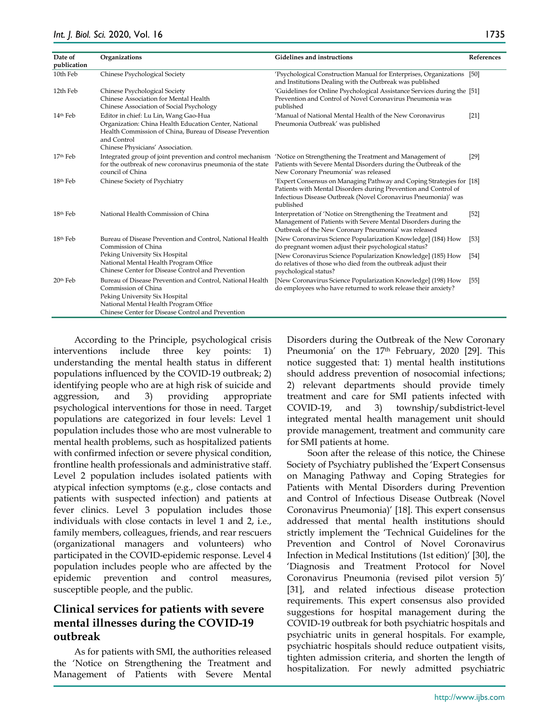| Date of<br>publication | Organizations                                                                                                                                                                                                    | Gidelines and instructions                                                                                                                                                                                                      | References |
|------------------------|------------------------------------------------------------------------------------------------------------------------------------------------------------------------------------------------------------------|---------------------------------------------------------------------------------------------------------------------------------------------------------------------------------------------------------------------------------|------------|
| 10th Feb               | Chinese Psychological Society                                                                                                                                                                                    | 'Psychological Construction Manual for Enterprises, Organizations [50]<br>and Institutions Dealing with the Outbreak was published                                                                                              |            |
| 12th Feb               | Chinese Psychological Society<br>Chinese Association for Mental Health<br>Chinese Association of Social Psychology                                                                                               | 'Guidelines for Online Psychological Assistance Services during the [51]<br>Prevention and Control of Novel Coronavirus Pneumonia was<br>published                                                                              |            |
| 14th Feb               | Editor in chief: Lu Lin, Wang Gao-Hua<br>Organization: China Health Education Center, National<br>Health Commission of China, Bureau of Disease Prevention<br>and Control<br>Chinese Physicians' Association.    | 'Manual of National Mental Health of the New Coronavirus<br>Pneumonia Outbreak' was published                                                                                                                                   | $[21]$     |
| 17 <sup>th</sup> Feb   | for the outbreak of new coronavirus pneumonia of the state<br>council of China                                                                                                                                   | Integrated group of joint prevention and control mechanism 'Notice on Strengthening the Treatment and Management of<br>Patients with Severe Mental Disorders during the Outbreak of the<br>New Coronary Pneumonia' was released | $[29]$     |
| 18th Feb               | Chinese Society of Psychiatry                                                                                                                                                                                    | 'Expert Consensus on Managing Pathway and Coping Strategies for [18]<br>Patients with Mental Disorders during Prevention and Control of<br>Infectious Disease Outbreak (Novel Coronavirus Pneumonia)' was<br>published          |            |
| 18th Feb               | National Health Commission of China                                                                                                                                                                              | Interpretation of 'Notice on Strengthening the Treatment and<br>Management of Patients with Severe Mental Disorders during the<br>Outbreak of the New Coronary Pneumonia' was released                                          | $[52]$     |
| 18th Feb               | Bureau of Disease Prevention and Control, National Health<br>Commission of China                                                                                                                                 | [New Coronavirus Science Popularization Knowledge] (184) How<br>do pregnant women adjust their psychological status?                                                                                                            | $[53]$     |
|                        | Peking University Six Hospital<br>National Mental Health Program Office<br>Chinese Center for Disease Control and Prevention                                                                                     | [New Coronavirus Science Popularization Knowledge] (185) How<br>do relatives of those who died from the outbreak adjust their<br>psychological status?                                                                          | $[54]$     |
| 20th Feb               | Bureau of Disease Prevention and Control, National Health<br>Commission of China<br>Peking University Six Hospital<br>National Mental Health Program Office<br>Chinese Center for Disease Control and Prevention | [New Coronavirus Science Popularization Knowledge] (198) How<br>do employees who have returned to work release their anxiety?                                                                                                   | $[55]$     |

According to the Principle, psychological crisis interventions include three key points: 1) understanding the mental health status in different populations influenced by the COVID-19 outbreak; 2) identifying people who are at high risk of suicide and aggression, and 3) providing appropriate psychological interventions for those in need. Target populations are categorized in four levels: Level 1 population includes those who are most vulnerable to mental health problems, such as hospitalized patients with confirmed infection or severe physical condition, frontline health professionals and administrative staff. Level 2 population includes isolated patients with atypical infection symptoms (e.g., close contacts and patients with suspected infection) and patients at fever clinics. Level 3 population includes those individuals with close contacts in level 1 and 2, i.e., family members, colleagues, friends, and rear rescuers (organizational managers and volunteers) who participated in the COVID-epidemic response. Level 4 population includes people who are affected by the epidemic prevention and control measures, susceptible people, and the public.

# **Clinical services for patients with severe mental illnesses during the COVID-19 outbreak**

As for patients with SMI, the authorities released the 'Notice on Strengthening the Treatment and Management of Patients with Severe Mental Disorders during the Outbreak of the New Coronary Pneumonia' on the 17<sup>th</sup> February, 2020 [29]. This notice suggested that: 1) mental health institutions should address prevention of nosocomial infections; 2) relevant departments should provide timely treatment and care for SMI patients infected with COVID-19, and 3) township/subdistrict-level integrated mental health management unit should provide management, treatment and community care for SMI patients at home.

Soon after the release of this notice, the Chinese Society of Psychiatry published the 'Expert Consensus on Managing Pathway and Coping Strategies for Patients with Mental Disorders during Prevention and Control of Infectious Disease Outbreak (Novel Coronavirus Pneumonia)' [18]. This expert consensus addressed that mental health institutions should strictly implement the 'Technical Guidelines for the Prevention and Control of Novel Coronavirus Infection in Medical Institutions (1st edition)' [30], the 'Diagnosis and Treatment Protocol for Novel Coronavirus Pneumonia (revised pilot version 5)' [31], and related infectious disease protection requirements. This expert consensus also provided suggestions for hospital management during the COVID-19 outbreak for both psychiatric hospitals and psychiatric units in general hospitals. For example, psychiatric hospitals should reduce outpatient visits, tighten admission criteria, and shorten the length of hospitalization. For newly admitted psychiatric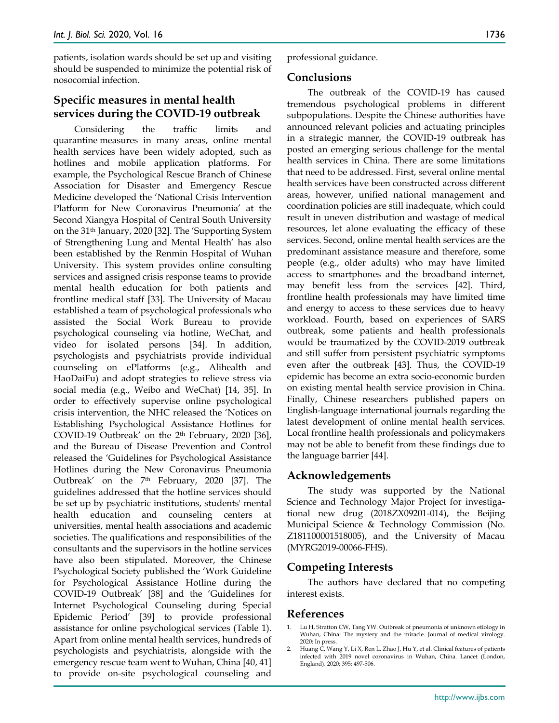patients, isolation wards should be set up and visiting should be suspended to minimize the potential risk of nosocomial infection.

# **Specific measures in mental health services during the COVID-19 outbreak**

Considering the traffic limits and quarantine measures in many areas, online mental health services have been widely adopted, such as hotlines and mobile application platforms. For example, the Psychological Rescue Branch of Chinese Association for Disaster and Emergency Rescue Medicine developed the 'National Crisis Intervention Platform for New Coronavirus Pneumonia' at the Second Xiangya Hospital of Central South University on the 31th January, 2020 [32]. The 'Supporting System of Strengthening Lung and Mental Health' has also been established by the Renmin Hospital of Wuhan University. This system provides online consulting services and assigned crisis response teams to provide mental health education for both patients and frontline medical staff [33]. The University of Macau established a team of psychological professionals who assisted the Social Work Bureau to provide psychological counseling via hotline, WeChat, and video for isolated persons [34]. In addition, psychologists and psychiatrists provide individual counseling on ePlatforms (e.g., Alihealth and HaoDaiFu) and adopt strategies to relieve stress via social media (e.g., Weibo and WeChat) [14, 35]. In order to effectively supervise online psychological crisis intervention, the NHC released the 'Notices on Establishing Psychological Assistance Hotlines for COVID-19 Outbreak' on the  $2<sup>th</sup>$  February, 2020 [36], and the Bureau of Disease Prevention and Control released the 'Guidelines for Psychological Assistance Hotlines during the New Coronavirus Pneumonia Outbreak' on the 7<sup>th</sup> February, 2020 [37]. The guidelines addressed that the hotline services should be set up by psychiatric institutions, students' mental health education and counseling centers at universities, mental health associations and academic societies. The qualifications and responsibilities of the consultants and the supervisors in the hotline services have also been stipulated. Moreover, the Chinese Psychological Society published the 'Work Guideline for Psychological Assistance Hotline during the COVID-19 Outbreak' [38] and the 'Guidelines for Internet Psychological Counseling during Special Epidemic Period' [39] to provide professional assistance for online psychological services (Table 1). Apart from online mental health services, hundreds of psychologists and psychiatrists, alongside with the emergency rescue team went to Wuhan, China [40, 41] to provide on-site psychological counseling and

professional guidance.

#### **Conclusions**

The outbreak of the COVID-19 has caused tremendous psychological problems in different subpopulations. Despite the Chinese authorities have announced relevant policies and actuating principles in a strategic manner, the COVID-19 outbreak has posted an emerging serious challenge for the mental health services in China. There are some limitations that need to be addressed. First, several online mental health services have been constructed across different areas, however, unified national management and coordination policies are still inadequate, which could result in uneven distribution and wastage of medical resources, let alone evaluating the efficacy of these services. Second, online mental health services are the predominant assistance measure and therefore, some people (e.g., older adults) who may have limited access to smartphones and the broadband internet, may benefit less from the services [42]. Third, frontline health professionals may have limited time and energy to access to these services due to heavy workload. Fourth, based on experiences of SARS outbreak, some patients and health professionals would be traumatized by the COVID-2019 outbreak and still suffer from persistent psychiatric symptoms even after the outbreak [43]. Thus, the COVID-19 epidemic has become an extra socio-economic burden on existing mental health service provision in China. Finally, Chinese researchers published papers on English-language international journals regarding the latest development of online mental health services. Local frontline health professionals and policymakers may not be able to benefit from these findings due to the language barrier [44].

# **Acknowledgements**

The study was supported by the National Science and Technology Major Project for investigational new drug (2018ZX09201-014), the Beijing Municipal Science & Technology Commission (No. Z181100001518005), and the University of Macau (MYRG2019-00066-FHS).

# **Competing Interests**

The authors have declared that no competing interest exists.

# **References**

- 1. Lu H, Stratton CW, Tang YW. Outbreak of pneumonia of unknown etiology in Wuhan, China: The mystery and the miracle. Journal of medical virology. 2020: In press.
- Huang C, Wang Y, Li X, Ren L, Zhao J, Hu Y, et al. Clinical features of patients infected with 2019 novel coronavirus in Wuhan, China. Lancet (London, England). 2020; 395: 497-506.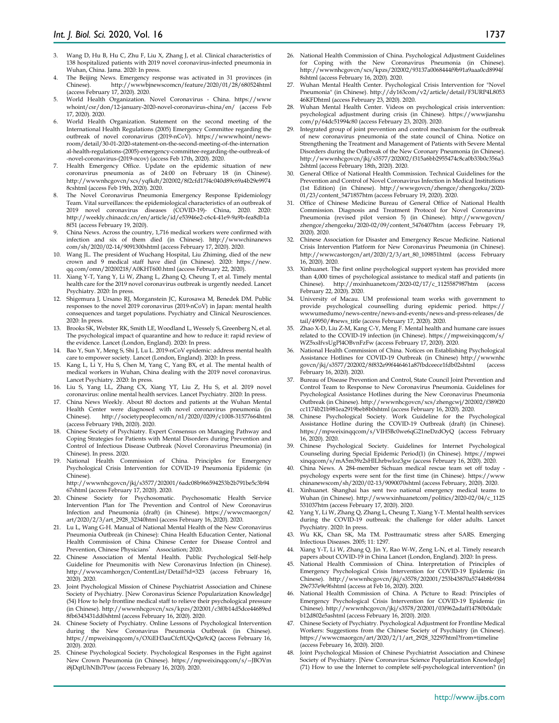- 3. Wang D, Hu B, Hu C, Zhu F, Liu X, Zhang J, et al. Clinical characteristics of 138 hospitalized patients with 2019 novel coronavirus-infected pneumonia in Wuhan, China. Jama. 2020: In press.
- 4. The Beijing News. Emergency response was activated in 31 provinces (in Chinese). http://wwwbjnewscomcn/feature/2020/01/28/680524html (access February 17, 2020). 2020.
- 5. World Health Organization. Novel Coronavirus China. https://www whoint/csr/don/12-january-2020-novel-coronavirus-china/en/ (access Feb 17, 2020). 2020.
- 6. World Health Organization. Statement on the second meeting of the International Health Regulations (2005) Emergency Committee regarding the outbreak of novel coronavirus (2019-nCoV). https://wwwwhoint/newsroom/detail/30-01-2020-statement-on-the-second-meeting-of-the-internation al-health-regulations-(2005)-emergency-committee-regarding-the-outbreak-of -novel-coronavirus-(2019-ncov) (access Feb 17th, 2020). 2020.
- 7. Health Emergency Office. Update on the epidemic situation of new coronavirus pneumonia as of 24:00 on February 18 (in Chinese). http://wwwnhcgovcn/xcs/yqfkdt/202002/8f2cfd17f4c040d89c69a4b29e9974 8cshtml (access Feb 19th, 2020). 2020.
- The Novel Coronavirus Pneumonia Emergency Response Epidemiology Team. Vital surveillances: the epidemiological characteristics of an outbreak of 2019 novel coronavirus diseases (COVID-19)- China, 2020. 2020: http://weekly.chinacdc.cn/en/article/id/e53946e2-c6c4-41e9-9a9b-fea8db1a 8f51 (access February 19, 2020).
- 9. China News. Across the country, 1,716 medical workers were confirmed with infection and six of them died (in Chinese). http://wwwchinanews com/sh/2020/02-14/9091300shtml (access February 17, 2020). 2020.
- 10. Wang JL. The president of Wuchang Hospital, Liu Zhiming, died of the new crown and 9 medical staff have died (in Chinese). 2020: https://new. qq.com/omn/20200218/A0KHT600.html (access February 22, 2020).
- 11. Xiang Y-T, Yang Y, Li W, Zhang L, Zhang Q, Cheung T, et al. Timely mental health care for the 2019 novel coronavirus outbreak is urgently needed. Lancet Psychiatry. 2020: In press.
- 12. Shigemura J, Ursano RJ, Morganstein JC, Kurosawa M, Benedek DM. Public responses to the novel 2019 coronavirus (2019‐nCoV) in Japan: mental health consequences and target populations. Psychiatry and Clinical Neurosciences. 2020: In press.
- 13. Brooks SK, Webster RK, Smith LE, Woodland L, Wessely S, Greenberg N, et al. The psychological impact of quarantine and how to reduce it: rapid review of the evidence. Lancet (London, England). 2020: In press.
- 14. Bao Y, Sun Y, Meng S, Shi J, Lu L. 2019-nCoV epidemic: address mental health care to empower society. Lancet (London, England). 2020: In press.
- 15. Kang L, Li Y, Hu S, Chen M, Yang C, Yang BX, et al. The mental health of medical workers in Wuhan, China dealing with the 2019 novel coronavirus. Lancet Psychiatry. 2020: In press.
- 16. Liu S, Yang LL, Zhang CX, Xiang YT, Liu Z, Hu S, et al. 2019 novel coronavirus: online mental health services. Lancet Psychiatry. 2020: In press.
- 17. China News Weekly. About 80 doctors and patients at the Wuhan Mental Health Center were diagnosed with novel coronavirus pneumonia (in Chinese). http://societypeoplecomcn/n1/2020/0209/c1008-31577664html (access February 19th, 2020). 2020.
- 18. Chinese Society of Psychiatry. Expert Consensus on Managing Pathway and Coping Strategies for Patients with Mental Disorders during Prevention and Control of Infectious Disease Outbreak (Novel Coronavirus Pneumonia) (in Chinese). In press. 2020.
- 19. National Health Commission of China. Principles for Emergency Psychological Crisis Intervention for COVID-19 Pneumonia Epidemic (in Chinese).

http://wwwnhcgovcn/jkj/s3577/202001/6adc08b966594253b2b791be5c3b94 67shtml (access February 17, 2020). 2020.

- 20. Chinese Society for Psychosomatic. Psychosomatic Health Service Intervention Plan for The Prevention and Control of New Coronavirus Infection and Pneumonia (draft) (in Chinese). https://wwwcmaorgcn/ art/2020/2/3/art\_2928\_32340html (access February 16, 2020). 2020.
- 21. Lu L, Wang G-H. Manual of National Mental Health of the New Coronavirus Pneumonia Outbreak (in Chinese): China Health Education Center, National Health Commission of China Chinese Center for Disease Control and Prevention, Chinese Physicians' Association; 2020.
- 22. Chinese Association of Mental Health. Public Psychological Self-help Guideline for Pneumonitis with New Coronavirus Infection (in Chinese). http://wwwcamhorgcn/ContentList/Detail?id=323 (access February 16, 2020). 2020.
- 23. Joint Psychological Mission of Chinese Psychiatrist Association and Chinese Society of Psychiatry. [New Coronavirus Science Popularization Knowledge] (54) How to help frontline medical staff to relieve their psychological pressure (in Chinese). http://wwwnhcgovcn/xcs/kpzs/202001/c3f0b14d5dce44689ed 8fb6343431dd0shtml (access February 16, 2020). 2020.
- 24. Chinese Society of Psychiatry. Online Lessons of Psychological Intervention during the New Coronavirus Pneumonia Outbreak (in Chinese). https://mpweixinqqcom/s/OXiEH3auCfcftUQvQa9ciQ (access February 16, 2020). 2020.
- 25. Chinese Psychological Society. Psychological Responses in the Fight against New Crown Pneumonia (in Chinese). https://mpweixinqqcom/s/--JBOVm i8jDqtUhNIh7Pow (access February 16, 2020). 2020.
- 26. National Health Commission of China. Psychological Adjustment Guidelines for Coping with the New Coronavirus Pneumonia (in Chinese). http://wwwnhcgovcn/xcs/kpzs/202002/93137a0068444f9b91a9aaa0cd8994f 8shtml (access February 16, 2020). 2020.
- 27. Wuhan Mental Health Center. Psychological Crisis Intervention for "Novel Pneumonia" (in Chinese). http://dy163com/v2/article/detail/F3URP4L8053 46KFDhtml (access February 23, 2020). 2020.
- 28. Wuhan Mental Health Center. Videos on psychological crisis intervention: psychological adjustment during crisis (in Chinese). https://wwwjianshu com/p/64dc51994c80 (access February 23, 2020). 2020.
- 29. Integrated group of joint prevention and control mechanism for the outbreak of new coronavirus pneumonia of the state council of China. Notice on Strengthening the Treatment and Management of Patients with Severe Mental Disorders during the Outbreak of the New Coronary Pneumonia (in Chinese). http://wwwnhcgovcn/jkj/s3577/202002/f315a6bb2955474c8ca0b33b0c356a3 2shtml (access February 18th, 2020). 2020.
- 30. General Office of National Health Commission. Technical Guidelines for the Prevention and Control of Novel Coronavirus Infection in Medical Institutions (1st Edition) (in Chinese). http://wwwgovcn/zhengce/zhengceku/2020- 01/23/content\_5471857htm (access February 19, 2020). 2020.
- 31. Office of Chinese Medicine Bureau of General Office of National Health Commission. Diagnosis and Treatment Protocol for Novel Coronavirus Pneumonia (revised pilot version 5) (in Chinese). http://wwwgovcn/ zhengce/zhengceku/2020-02/09/content\_5476407htm (access February 19, 2020). 2020.
- 32. Chinese Association for Disaster and Emergency Rescue Medicine. National Crisis Intervention Platform for New Coronavirus Pneumonia (in Chinese). http://wwwcastorgcn/art/2020/2/3/art\_80\_109851html (access February 16, 2020). 2020.
- 33. Xinhuanet. The first online psychological support system has provided more than 4,000 times of psychological assistance to medical staff and patients (in Chinese). http://mxinhuanetcom/2020-02/17/c 1125587987htm (access http://mxinhuanetcom/2020-02/17/c\_1125587987htm (access February 22, 2020). 2020.
- 34. University of Macau. UM professional team works with government to provide psychological counselling during epidemic period. https:// wwwumedumo/news-centre/news-and-events/news-and-press-releases/de tail/49950/#news\_title (access February 17, 2020). 2020.
- 35. Zhao X-D, Liu Z-M, Kang C-Y, Meng F. Mental health and humane care issues related to the COVID-19 infection (in Chinese). https://mpweixinqqcom/s/ WZ5xsIfvsUgPl4OBvnFzFw (access February 17, 2020). 2020.
- 36. National Health Commission of China. Notices on Establishing Psychological Assistance Hotlines for COVID-19 Outbreak (in Chinese) http://wwwnhc govcn/jkj/s3577/202002/8f832e99f446461a87fbdceece1fdb02shtml February 16, 2020). 2020.
- 37. Bureau of Disease Prevention and Control, State Council Joint Prevention and Control Team to Response to New Coronavirus Pneumonia. Guidelines for Psychological Assistance Hotlines during the New Coronavirus Pneumonia Outbreak (in Chinese). http://wwwnhcgovcn/xcs/zhengcwj/202002/f389f20 cc1174b21b981ea2919beb8b0shtml (access February 16, 2020). 2020.
- 38. Chinese Psychological Society. Work Guideline for the Psychological Assistance Hotline during the COVID-19 Outbreak (draft) (in Chinese). https://mpweixinqqcom/s/VIH5Bc0we6qG21neDzdOyQ (access February 16, 2020). 2020.
- 39. Chinese Psychological Society. Guidelines for Internet Psychological Counseling during Special Epidemic Period(1) (in Chinese). https://mpwei xinqqcom/s/mA5m39z2sHlLhrbwloz3gw (access February 16, 2020). 2020.
- 40. China News. A 284-member Sichuan medical rescue team set off today psychology experts were sent for the first time (in Chinese). https://www chinanewscom/sh/2020/02-13/9090070shtml (access February, 2020). 2020.
- 41. Xinhuanet. Shanghai has sent two national emergency medical teams to Wuhan (in Chinese). http://wwwxinhuanetcom/politics/2020-02/04/c\_1125 531037htm (access February 17, 2020). 2020.
- 42. Yang Y, Li W, Zhang Q, Zhang L, Cheung T, Xiang Y-T. Mental health services during the COVID-19 outbreak: the challenge for older adults. Lancet Psychiatry. 2020: In press.
- 43. Wu KK, Chan SK, Ma TM. Posttraumatic stress after SARS. Emerging Infectious Diseases. 2005; 11: 1297.
- 44. Xiang Y-T, Li W, Zhang Q, Jin Y, Rao W-W, Zeng L-N, et al. Timely research papers about COVID-19 in China Lancet (London, England). 2020: In press.
- 45. National Health Commission of China. Interpretation of Principles of Emergency Psychological Crisis Intervention for COVID-19 Epidemic (in Chinese). http://wwwnhcgovcn/jkj/s3578/202001/253b43870a5744b8b9384 29e737e9e9fshtml (access at Feb 16, 2020). 2020.
- 46. National Health Commission of China. A Picture to Read: Principles of Emergency Psychological Crisis Intervention for COVID-19 Epidemic (in Chinese). http://wwwnhcgovcn/jkj/s3578/202001/03f962adaff14780b0da0c b12d802e5ashtml (access February 16, 2020). 2020.
- 47. Chinese Society of Psychiatry. Psychological Adjustment for Frontline Medical Workers: Suggestions from the Chinese Society of Psychiatry (in Chinese). https://wwwcmaorgcn/art/2020/2/1/art\_2928\_32297html?from=timeline (access February 16, 2020). 2020.
- Joint Psychological Mission of Chinese Psychiatrist Association and Chinese Society of Psychiatry. [New Coronavirus Science Popularization Knowledge] (71) How to use the Internet to complete self-psychological intervention? (in